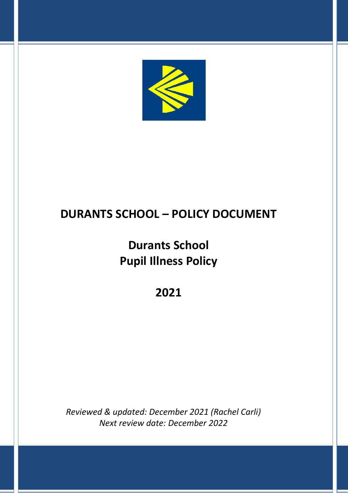

## **DURANTS SCHOOL – POLICY DOCUMENT**

# **Durants School Pupil Illness Policy**

### **2021**

*Reviewed & updated: December 2021 (Rachel Carli) Next review date: December 2022*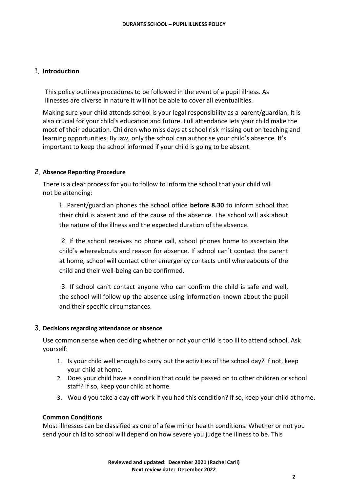#### 1. **Introduction**

This policy outlines procedures to be followed in the event of a pupil illness. As illnesses are diverse in nature it will not be able to cover all eventualities.

Making sure your child attends school is your legal responsibility as a parent/guardian. It is also crucial for your child's education and future. Full attendance lets your child make the most of their education. Children who miss days at school risk missing out on teaching and learning opportunities. By law, only the school can authorise your child's absence. It's important to keep the school informed if your child is going to be absent.

#### 2. **Absence Reporting Procedure**

There is a clear process for you to follow to inform the school that your child will not be attending:

1. Parent/guardian phones the school office **before 8.30** to inform school that their child is absent and of the cause of the absence. The school will ask about the nature of the illness and the expected duration of the absence.

2. If the school receives no phone call, school phones home to ascertain the child's whereabouts and reason for absence. If school can't contact the parent at home, school will contact other emergency contacts until whereabouts of the child and their well-being can be confirmed.

3. If school can't contact anyone who can confirm the child is safe and well, the school will follow up the absence using information known about the pupil and their specific circumstances.

#### 3. **Decisions regarding attendance or absence**

Use common sense when deciding whether or not your child is too ill to attend school. Ask yourself:

- 1. Is your child well enough to carry out the activities of the school day? If not, keep your child at home.
- 2. Does your child have a condition that could be passed on to other children or school staff? If so, keep your child at home.
- **3.** Would you take a day off work if you had this condition? If so, keep your child at home.

#### **Common Conditions**

Most illnesses can be classified as one of a few minor health conditions. Whether or not you send your child to school will depend on how severe you judge the illness to be. This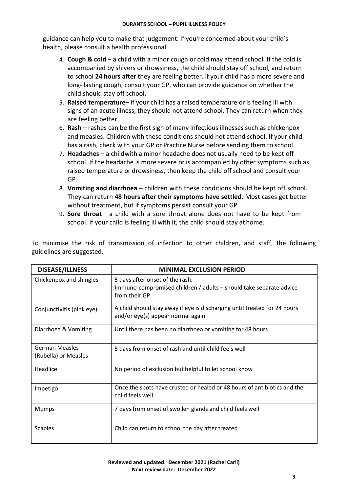guidance can help you to make that judgement. If you're concerned about your child's health, please consult a health professional.

- 4. **Cough & cold**  a child with a minor cough or cold may attend school. If the cold is accompanied by shivers or drowsiness, the child should stay off school, and return to school **24 hours after** they are feeling better. If your child has a more severe and long- lasting cough, consult your GP, who can provide guidance on whether the child should stay off school.
- 5. **Raised temperature** if your child has a raised temperature or is feeling ill with signs of an acute illness, they should not attend school. They can return when they are feeling better.
- 6. **Rash**  rashes can be the first sign of many infectious illnesses such as chickenpox and measles. Children with these conditions should not attend school. If your child has a rash, check with your GP or Practice Nurse before sending them to school.
- 7. **Headaches**  a childwith a minor headache does not usually need to be kept off school. If the headache is more severe or is accompanied by other symptoms such as raised temperature or drowsiness, then keep the child off school and consult your GP.
- 8. **Vomiting and diarrhoea**  children with these conditions should be kept off school. They can return **48 hours after their symptoms have settled**. Most cases get better without treatment, but if symptoms persist consult your GP.
- 9. **Sore throat** a child with a sore throat alone does not have to be kept from school. If your child is feeling ill with it, the child should stay at home.

To minimise the risk of transmission of infection to other children, and staff, the following guidelines are suggested.

| <b>DISEASE/ILLNESS</b>                        | <b>MINIMAL EXCLUSION PERIOD</b>                                                                                        |
|-----------------------------------------------|------------------------------------------------------------------------------------------------------------------------|
| Chickenpox and shingles                       | 5 days after onset of the rash.<br>Immuno-compromised children / adults - should take separate advice<br>from their GP |
| Conjunctivitis (pink eye)                     | A child should stay away if eye is discharging until treated for 24 hours<br>and/or eye(s) appear normal again         |
| Diarrhoea & Vomiting                          | Until there has been no diarrhoea or vomiting for 48 hours                                                             |
| <b>German Measles</b><br>(Rubella) or Measles | 5 days from onset of rash and until child feels well                                                                   |
| Headlice                                      | No period of exclusion but helpful to let school know                                                                  |
| Impetigo                                      | Once the spots have crusted or healed or 48 hours of antibiotics and the<br>child feels well                           |
| <b>Mumps</b>                                  | 7 days from onset of swollen glands and child feels well                                                               |
| <b>Scabies</b>                                | Child can return to school the day after treated                                                                       |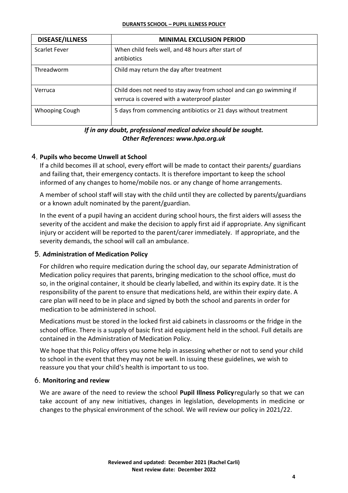| <b>DISEASE/ILLNESS</b> | <b>MINIMAL EXCLUSION PERIOD</b>                                                                                     |
|------------------------|---------------------------------------------------------------------------------------------------------------------|
| <b>Scarlet Fever</b>   | When child feels well, and 48 hours after start of<br>antibiotics                                                   |
| Threadworm             | Child may return the day after treatment                                                                            |
| Verruca                | Child does not need to stay away from school and can go swimming if<br>verruca is covered with a waterproof plaster |
| Whooping Cough         | 5 days from commencing antibiotics or 21 days without treatment                                                     |

#### *If in any doubt, professional medical advice should be sought. Other References: www.hpa.org.uk*

#### 4. **Pupils who become Unwell at School**

If a child becomes ill at school, every effort will be made to contact their parents/ guardians and failing that, their emergency contacts. It is therefore important to keep the school informed of any changes to home/mobile nos. or any change of home arrangements.

A member of school staff will stay with the child until they are collected by parents/guardians or a known adult nominated by the parent/guardian.

In the event of a pupil having an accident during school hours, the first aiders will assess the severity of the accident and make the decision to apply first aid if appropriate. Any significant injury or accident will be reported to the parent/carer immediately. If appropriate, and the severity demands, the school will call an ambulance.

#### 5. **Administration of Medication Policy**

For children who require medication during the school day, our separate Administration of Medication policy requires that parents, bringing medication to the school office, must do so, in the original container, it should be clearly labelled, and within its expiry date. It is the responsibility of the parent to ensure that medications held, are within their expiry date. A care plan will need to be in place and signed by both the school and parents in order for medication to be administered in school.

Medications must be stored in the locked first aid cabinets in classrooms or the fridge in the school office. There is a supply of basic first aid equipment held in the school. Full details are contained in the Administration of Medication Policy.

We hope that this Policy offers you some help in assessing whether or not to send your child to school in the event that they may not be well. In issuing these guidelines, we wish to reassure you that your child's health is important to us too.

#### 6. **Monitoring and review**

We are aware of the need to review the school **Pupil Illness Policy**regularly so that we can take account of any new initiatives, changes in legislation, developments in medicine or changes to the physical environment of the school. We will review our policy in 2021/22.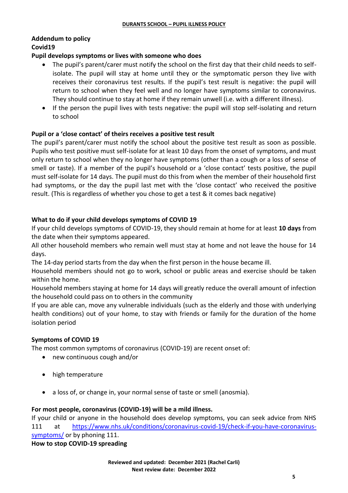### **Addendum to policy Covid19**

#### **Pupil develops symptoms or lives with someone who does**

- The pupil's parent/carer must notify the school on the first day that their child needs to selfisolate. The pupil will stay at home until they or the symptomatic person they live with receives their coronavirus test results. If the pupil's test result is negative: the pupil will return to school when they feel well and no longer have symptoms similar to coronavirus. They should continue to stay at home if they remain unwell (i.e. with a different illness).
- If the person the pupil lives with tests negative: the pupil will stop self-isolating and return to school

#### **Pupil or a 'close contact' of theirs receives a positive test result**

The pupil's parent/carer must notify the school about the positive test result as soon as possible. Pupils who test positive must self-isolate for at least 10 days from the onset of symptoms, and must only return to school when they no longer have symptoms (other than a cough or a loss of sense of smell or taste). If a member of the pupil's household or a 'close contact' tests positive, the pupil must self-isolate for 14 days. The pupil must do this from when the member of their household first had symptoms, or the day the pupil last met with the 'close contact' who received the positive result. (This is regardless of whether you chose to get a test & it comes back negative)

#### **What to do if your child develops symptoms of COVID 19**

If your child develops symptoms of COVID-19, they should remain at home for at least **10 days** from the date when their symptoms appeared.

All other household members who remain well must stay at home and not leave the house for 14 days.

The 14-day period starts from the day when the first person in the house became ill.

Household members should not go to work, school or public areas and exercise should be taken within the home.

Household members staying at home for 14 days will greatly reduce the overall amount of infection the household could pass on to others in the community

If you are able can, move any vulnerable individuals (such as the elderly and those with underlying health conditions) out of your home, to stay with friends or family for the duration of the home isolation period

#### **Symptoms of COVID 19**

The most common symptoms of coronavirus (COVID-19) are recent onset of:

- new continuous cough and/or
- high temperature
- a loss of, or change in, your normal sense of taste or smell (anosmia).

#### **For most people, coronavirus (COVID-19) will be a mild illness.**

If your child or anyone in the household does develop symptoms, you can seek advice from NHS 111 at [https://www.nhs.uk/conditions/coronavirus-covid-19/check-if-you-have-coronavirus](https://www.nhs.uk/conditions/coronavirus-covid-19/check-if-you-have-coronavirus-symptoms/)[symptoms/](https://www.nhs.uk/conditions/coronavirus-covid-19/check-if-you-have-coronavirus-symptoms/) or by phoning 111.

**How to stop COVID-19 spreading**